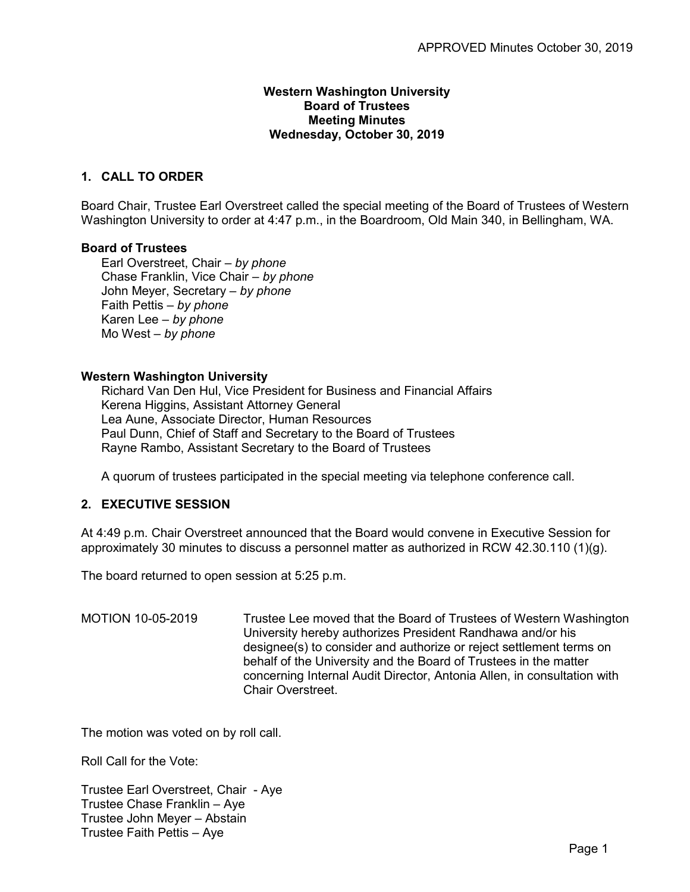## **Western Washington University Board of Trustees Meeting Minutes Wednesday, October 30, 2019**

# **1. CALL TO ORDER**

Board Chair, Trustee Earl Overstreet called the special meeting of the Board of Trustees of Western Washington University to order at 4:47 p.m., in the Boardroom, Old Main 340, in Bellingham, WA.

### **Board of Trustees**

Earl Overstreet, Chair – *by phone* Chase Franklin, Vice Chair – *by phone* John Meyer, Secretary – *by phone* Faith Pettis – *by phone* Karen Lee – *by phone* Mo West – *by phone*

#### **Western Washington University**

Richard Van Den Hul, Vice President for Business and Financial Affairs Kerena Higgins, Assistant Attorney General Lea Aune, Associate Director, Human Resources Paul Dunn, Chief of Staff and Secretary to the Board of Trustees Rayne Rambo, Assistant Secretary to the Board of Trustees

A quorum of trustees participated in the special meeting via telephone conference call.

### **2. EXECUTIVE SESSION**

At 4:49 p.m. Chair Overstreet announced that the Board would convene in Executive Session for approximately 30 minutes to discuss a personnel matter as authorized in RCW 42.30.110 (1)(g).

The board returned to open session at 5:25 p.m.

MOTION 10-05-2019 Trustee Lee moved that the Board of Trustees of Western Washington University hereby authorizes President Randhawa and/or his designee(s) to consider and authorize or reject settlement terms on behalf of the University and the Board of Trustees in the matter concerning Internal Audit Director, Antonia Allen, in consultation with Chair Overstreet.

The motion was voted on by roll call.

Roll Call for the Vote:

Trustee Earl Overstreet, Chair - Aye Trustee Chase Franklin – Aye Trustee John Meyer – Abstain Trustee Faith Pettis – Aye